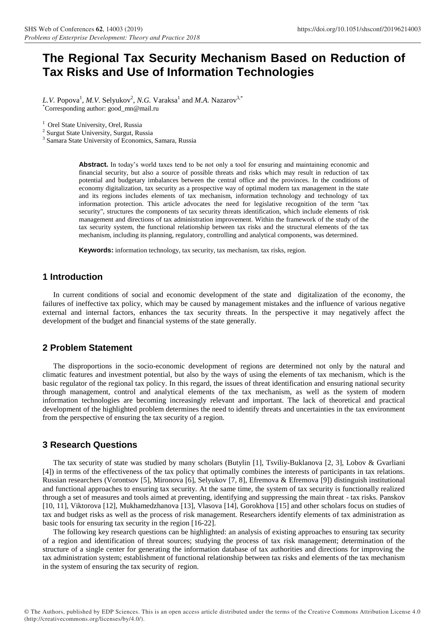# **The Regional Tax Security Mechanism Based on Reduction of Tax Risks and Use of Information Technologies**

L.V. Popova<sup>1</sup>, *M.V.* Selyukov<sup>2</sup>, *N.G.* Varaksa<sup>1</sup> and *M.A.* Nazarov<sup>3,\*</sup> \*Corresponding author: [good\\_mn@mail.ru](mailto:good_mn@mail.ru)

<sup>1</sup> Orel State University, Orel, Russia

<sup>2</sup> Surgut State University, Surgut, Russia

3 Samara State University of Economics, Samara, Russia

**Abstract.** In today's world taxes tend to be not only a tool for ensuring and maintaining economic and financial security, but also a source of possible threats and risks which may result in reduction of tax potential and budgetary imbalances between the central office and the provinces. In the conditions of economy digitalization, tax security as a prospective way of optimal modern tax management in the state and its regions includes elements of tax mechanism, information technology and technology of tax information protection. This article advocates the need for legislative recognition of the term "tax security", structures the components of tax security threats identification, which include elements of risk management and directions of tax administration improvement. Within the framework of the study of the tax security system, the functional relationship between tax risks and the structural elements of the tax mechanism, including its planning, regulatory, controlling and analytical components, was determined.

**Keywords:** information technology, tax security, tax mechanism, tax risks, region.

## **1 Introduction**

In current conditions of social and economic development of the state and digitalization of the economy, the failures of ineffective tax policy, which may be caused by management mistakes and the influence of various negative external and internal factors, enhances the tax security threats. In the perspective it may negatively affect the development of the budget and financial systems of the state generally.

#### **2 Problem Statement**

The disproportions in the socio-economic development of regions are determined not only by the natural and climatic features and investment potential, but also by the ways of using the elements of tax mechanism, which is the basic regulator of the regional tax policy. In this regard, the issues of threat identification and ensuring national security through management, control and analytical elements of the tax mechanism, as well as the system of modern information technologies are becoming increasingly relevant and important. The lack of theoretical and practical development of the highlighted problem determines the need to identify threats and uncertainties in the tax environment from the perspective of ensuring the tax security of a region.

#### **3 Research Questions**

The tax security of state was studied by many scholars (Butylin [1], Tsviliy-Buklanova [2, 3], Lobov & Gvarliani [4]) in terms of the effectiveness of the tax policy that optimally combines the interests of participants in tax relations. Russian researchers (Vorontsov [5], Mironova [6], Selyukov [7, 8], Efremova & Efremova [9]) distinguish institutional and functional approaches to ensuring tax security. At the same time, the system of tax security is functionally realized through a set of measures and tools aimed at preventing, identifying and suppressing the main threat - tax risks. Panskov [10, 11], Viktorova [12], Mukhamedzhanova [13], Vlasova [14], Gorokhova [15] and other scholars focus on studies of tax and budget risks as well as the process of risk management. Researchers identify elements of tax administration as basic tools for ensuring tax security in the region [16-22].

The following key research questions can be highlighted: an analysis of existing approaches to ensuring tax security of a region and identification of threat sources; studying the process of tax risk management; determination of the structure of a single center for generating the information database of tax authorities and directions for improving the tax administration system; establishment of functional relationship between tax risks and elements of the tax mechanism in the system of ensuring the tax security of region.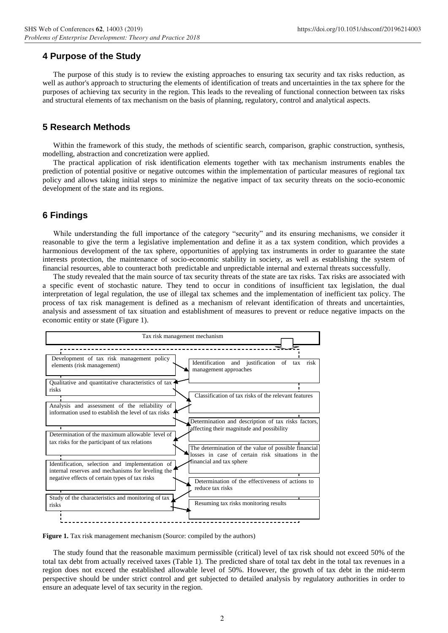#### **4 Purpose of the Study**

The purpose of this study is to review the existing approaches to ensuring tax security and tax risks reduction, as well as author's approach to structuring the elements of identification of treats and uncertainties in the tax sphere for the purposes of achieving tax security in the region. This leads to the revealing of functional connection between tax risks and structural elements of tax mechanism on the basis of planning, regulatory, control and analytical aspects.

## **5 Research Methods**

Within the framework of this study, the methods of scientific search, comparison, graphic construction, synthesis, modelling, abstraction and concretization were applied.

The practical application of risk identification elements together with tax mechanism instruments enables the prediction of potential positive or negative outcomes within the implementation of particular measures of regional tax policy and allows taking initial steps to minimize the negative impact of tax security threats on the socio-economic development of the state and its regions.

#### **6 Findings**

While understanding the full importance of the category "security" and its ensuring mechanisms, we consider it reasonable to give the term a legislative implementation and define it as a tax system condition, which provides a harmonious development of the tax sphere, opportunities of applying tax instruments in order to guarantee the state interests protection, the maintenance of socio-economic stability in society, as well as establishing the system of financial resources, able to counteract both predictable and unpredictable internal and external threats successfully.

The study revealed that the main source of tax security threats of the state are tax risks. Tax risks are associated with a specific event of stochastic nature. They tend to occur in conditions of insufficient tax legislation, the dual interpretation of legal regulation, the use of illegal tax schemes and the implementation of inefficient tax policy. The process of tax risk management is defined as a mechanism of relevant identification of threats and uncertainties, analysis and assessment of tax situation and establishment of measures to prevent or reduce negative impacts on the economic entity or state (Figure 1).



**Figure 1.** Tax risk management mechanism (Source: compiled by the authors)

The study found that the reasonable maximum permissible (critical) level of tax risk should not exceed 50% of the total tax debt from actually received taxes (Table 1). The predicted share of total tax debt in the total tax revenues in a region does not exceed the established allowable level of 50%. However, the growth of tax debt in the mid-term perspective should be under strict control and get subjected to detailed analysis by regulatory authorities in order to ensure an adequate level of tax security in the region.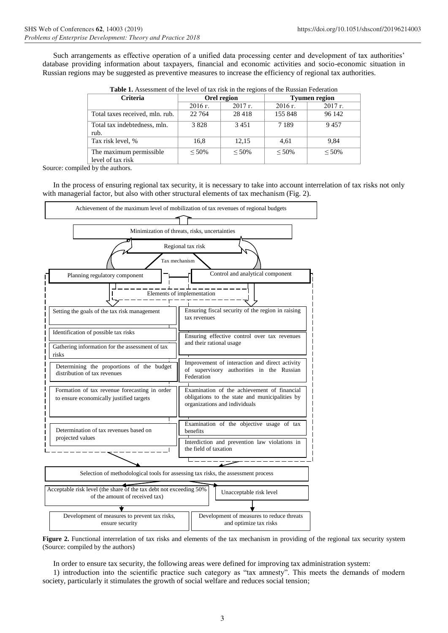Such arrangements as effective operation of a unified data processing center and development of tax authorities' database providing information about taxpayers, financial and economic activities and socio-economic situation in Russian regions may be suggested as preventive measures to increase the efficiency of regional tax authorities.

| <b>Criteria</b>                              | Orel region |           | <b>Tyumen region</b> |           |
|----------------------------------------------|-------------|-----------|----------------------|-----------|
|                                              | 2016 г.     | $2017$ r. | 2016 г.              | $2017$ r. |
| Total taxes received, mln. rub.              | 22 764      | 28418     | 155 848              | 96 142    |
| Total tax indebtedness, mln.<br>rub.         | 3828        | 3451      | 7 1 8 9              | 9457      |
| Tax risk level, %                            | 16,8        | 12,15     | 4,61                 | 9,84      |
| The maximum permissible<br>level of tax risk | ${}<$ 50%   | ${}<$ 50% | $< 50\%$             | ${}<$ 50% |

**Table 1.** Assessment of the level of tax risk in the regions of the Russian Federation

Source: compiled by the authors.

In the process of ensuring regional tax security, it is necessary to take into account interrelation of tax risks not only with managerial factor, but also with other structural elements of tax mechanism (Fig. 2).



**Figure 2.** Functional interrelation of tax risks and elements of the tax mechanism in providing of the regional tax security system (Source: compiled by the authors)

In order to ensure tax security, the following areas were defined for improving tax administration system:

1) introduction into the scientific practice such category as "tax amnesty". This meets the demands of modern society, particularly it stimulates the growth of social welfare and reduces social tension;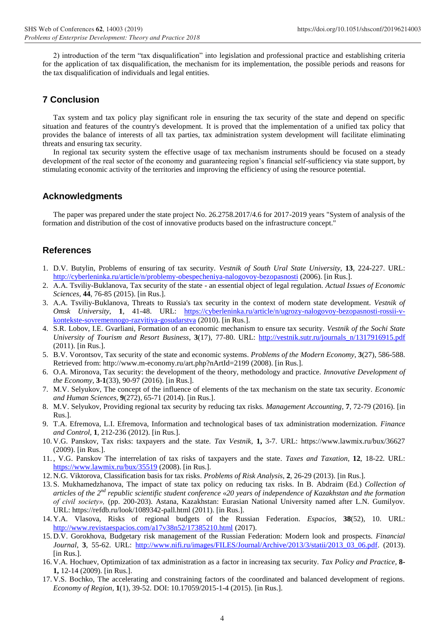2) introduction of the term "tax disqualification" into legislation and professional practice and establishing criteria for the application of tax disqualification, the mechanism for its implementation, the possible periods and reasons for the tax disqualification of individuals and legal entities.

# **7 Conclusion**

Tax system and tax policy play significant role in ensuring the tax security of the state and depend on specific situation and features of the country's development. It is proved that the implementation of a unified tax policy that provides the balance of interests of all tax parties, tax administration system development will facilitate eliminating threats and ensuring tax security.

In regional tax security system the effective usage of tax mechanism instruments should be focused on a steady development of the real sector of the economy and guaranteeing region's financial self-sufficiency via state support, by stimulating economic activity of the territories and improving the efficiency of using the resource potential.

## **Acknowledgments**

The paper was prepared under the state project No. 26.2758.2017/4.6 for 2017-2019 years "System of analysis of the formation and distribution of the cost of innovative products based on the infrastructure concept."

## **References**

- 1. D.V. Butylin, Problems of ensuring of tax security. *Vestnik of South Ural State University*, **13**, 224-227. URL: <http://cyberleninka.ru/article/n/problemy-obespecheniya-nalogovoy-bezopasnosti> (2006). [in Rus.].
- 2. А.А. Tsviliy-Buklanova, Tax security of the state an essential object of legal regulation. *Actual Issues of Economic Sciences,* **44***,* 76-85 (2015). [in Rus.].
- 3. А.А. Tsviliy-Buklanova, Threats to Russia's tax security in the context of modern state development. *Vestnik of Omsk University,* **1**, 41-48. URL: [https://cyberleninka.ru/article/n/ugrozy-nalogovoy-bezopasnosti-rossii-v](https://cyberleninka.ru/article/n/ugrozy-nalogovoy-bezopasnosti-rossii-v-kontekste-sovremennogo-razvitiya-gosudarstva)[kontekste-sovremennogo-razvitiya-gosudarstva](https://cyberleninka.ru/article/n/ugrozy-nalogovoy-bezopasnosti-rossii-v-kontekste-sovremennogo-razvitiya-gosudarstva) (2010). [in Rus.].
- 4. S.R. Lobov, I.E. Gvarliani, Formation of an economic mechanism to ensure tax security. *Vestnik of the Sochi State University of Tourism and Resort Business*, **3**(17), 77-80. URL: [http://vestnik.sutr.ru/journals\\_n/1317916915.pdf](http://vestnik.sutr.ru/journals_n/1317916915.pdf) (2011). [in Rus.].
- 5. B.V. Vorontsov, Tax security of the state and economic systems. *Problems of the Modern Economy*, **3**(27), 586-588. Retrieved from: http://www.m-economy.ru/art.php?nArtId=2199 (2008). [in Rus.].
- 6. O.A. Mironova, Tax security: the development of the theory, methodology and practice. *Innovative Development of the Economy*, **3-1**(33), 90-97 (2016). [in Rus.].
- 7. M.V. Selyukov, The concept of the influence of elements of the tax mechanism on the state tax security. *Economic and Human Sciences,* **9**(272)*,* 65-71 (2014). [in Rus.].
- 8. M.V. Selyukov, Providing regional tax security by reducing tax risks. *Management Accounting,* **7**, 72-79 (2016). [in Rus.].
- 9. T.A. Efremova, L.I. Efremova, Information and technological bases of tax administration modernization. *Finance and Control*, **1**, 212-236 (2012). [in Rus.].
- 10. V.G. Panskov, Tax risks: taxpayers and the state. *Tax Vestnik,* **1,** 3-7. URL: https://www.lawmix.ru/bux/36627 (2009). [in Rus.].
- 11. , V.G. Panskov The interrelation of tax risks of taxpayers and the state. *Taxes and Taxation,* **12**, 18-22*.* URL: <https://www.lawmix.ru/bux/35519> (2008). [in Rus.].
- 12. N.G. Viktorova, Classification basis for tax risks. *Problems of Risk Analysis*, **2**, 26-29 (2013). [in Rus.].
- 13. S. Mukhamedzhanova, The impact of state tax policy on reducing tax risks. In B. Abdraim (Ed.) *Collection of articles of the 2nd republic scientific student conference* «*20 years of independence of Kazakhstan and the formation of civil society»,* (pp. 200-203). Astana, Kazakhstan: Eurasian National University named after L.N. Gumilyov. URL:<https://refdb.ru/look/1089342-pall.html> (2011). [in Rus.].
- 14. Y.A. [Vlasova, Risks of regional budgets of the Russian Federation.](https://www.scopus.com/authid/detail.uri?origin=resultslist&authorId=57188979139&zone=) *[Espacios,](https://www.scopus.com/sourceid/11200153556?origin=resultslist)* **38**(52), 10. URL: <http://www.revistaespacios.com/a17v38n52/17385210.html> (2017).
- 15. D.V. Gorokhova, Budgetary risk management of the Russian Federation: Modern look and prospects. *Financial Journal*, **3**, 55-62. URL: [http://www.nifi.ru/images/FILES/Journal/Archive/2013/3/statii/2013\\_03\\_06.pdf.](http://www.nifi.ru/images/FILES/Journal/Archive/2013/3/statii/2013_03_06.pdf) (2013). [in Rus.].
- 16. V.A. Hochuev, Optimization of tax administration as a factor in increasing tax security. *Tax Policy and Practice,* **8- 1,** 12-14 (2009). [in Rus.].
- 17. V.S. [Bochko, T](https://www.scopus.com/authid/detail.uri?authorId=55961317100&eid=2-s2.0-84979726349)he accelerating and constraining factors of the coordinated and balanced development of regions. *[Economy](https://www.scopus.com/sourceid/21100242818?origin=recordpage) of Region,* **1**(1)*,* 39-52. DOI: 10.17059/2015-1-4 (2015). [in Rus.].